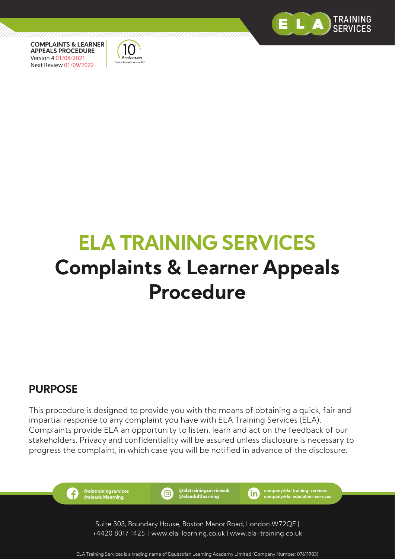



# **ELA TRAINING SERVICES Complaints & Learner Appeals Procedure**

7777777777777

# **PURPOSE**

This procedure is designed to provide you with the means of obtaining a quick, fair and impartial response to any complaint you have with ELA Training Services (ELA). Complaints provide ELA an opportunity to listen, learn and act on the feedback of our stakeholders. Privacy and confidentiality will be assured unless disclosure is necessary to progress the complaint, in which case you will be notified in advance of the disclosure.

> **@elatrainingservices @elaadultlearning**

f

**@elatrainingservicesuk** (同) **@elaadultlearning**

**company/ela-training-services** (in) **company/ela-education-services**

Suite 303, Boundary House, Boston Manor Road, London W72QE | +4420 8017 1425 | www.ela-learning.co.uk | www.ela-training.co.uk

ELA Training Services is a trading name of Equestrian Learning Academy Limited (Company Number: 07611903)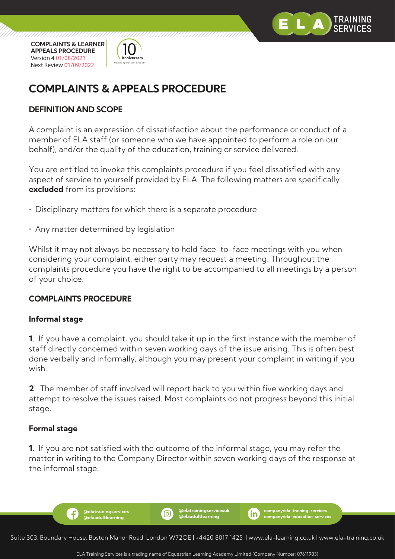



# **COMPLAINTS & APPEALS PROCEDURE**

## **DEFINITION AND SCOPE**

A complaint is an expression of dissatisfaction about the performance or conduct of a member of ELA staff (or someone who we have appointed to perform a role on our behalf), and/or the quality of the education, training or service delivered.

You are entitled to invoke this complaints procedure if you feel dissatisfied with any aspect of service to yourself provided by ELA. The following matters are specifically **excluded** from its provisions:

- Disciplinary matters for which there is a separate procedure
- Any matter determined by legislation

**@elatrainingservices @elaadultlearning**

f

Whilst it may not always be necessary to hold face-to-face meetings with you when considering your complaint, either party may request a meeting. Throughout the complaints procedure you have the right to be accompanied to all meetings by a person of your choice.

## **COMPLAINTS PROCEDURE**

#### **Informal stage**

**1**. If you have a complaint, you should take it up in the first instance with the member of staff directly concerned within seven working days of the issue arising. This is often best done verbally and informally, although you may present your complaint in writing if you wish.

**2**. The member of staff involved will report back to you within five working days and attempt to resolve the issues raised. Most complaints do not progress beyond this initial stage.

#### **Formal stage**

**1**. If you are not satisfied with the outcome of the informal stage, you may refer the matter in writing to the Company Director within seven working days of the response at the informal stage.



<u>(ဝ)</u>

**@elatrainingservicesuk @elaadultlearning**

**company/ela-training-services company/ela-education-services**

ïn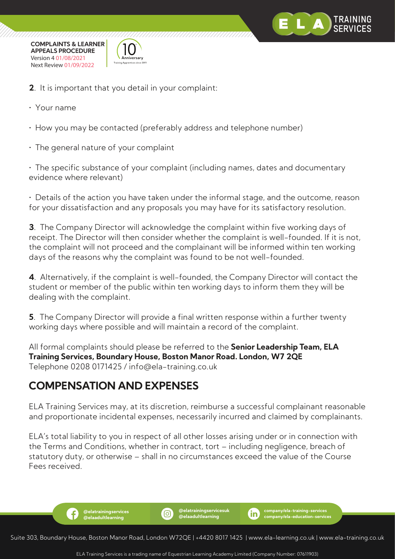



- **2**. It is important that you detail in your complaint:
- Your name
- How you may be contacted (preferably address and telephone number)
- The general nature of your complaint

• The specific substance of your complaint (including names, dates and documentary evidence where relevant)

• Details of the action you have taken under the informal stage, and the outcome, reason for your dissatisfaction and any proposals you may have for its satisfactory resolution.

**3**. The Company Director will acknowledge the complaint within five working days of receipt. The Director will then consider whether the complaint is well-founded. If it is not, the complaint will not proceed and the complainant will be informed within ten working days of the reasons why the complaint was found to be not well-founded.

**4**. Alternatively, if the complaint is well-founded, the Company Director will contact the student or member of the public within ten working days to inform them they will be dealing with the complaint.

**5**. The Company Director will provide a final written response within a further twenty working days where possible and will maintain a record of the complaint.

All formal complaints should please be referred to the **Senior Leadership Team, ELA Training Services, Boundary House, Boston Manor Road. London, W7 2QE**  Telephone 0208 0171425 / info@ela-training.co.uk

# **COMPENSATION AND EXPENSES**

**@elatrainingservices @elaadultlearning**

f

ELA Training Services may, at its discretion, reimburse a successful complainant reasonable and proportionate incidental expenses, necessarily incurred and claimed by complainants.

ELA's total liability to you in respect of all other losses arising under or in connection with the Terms and Conditions, whether in contract, tort – including negligence, breach of statutory duty, or otherwise – shall in no circumstances exceed the value of the Course Fees received.

Suite 303, Boundary House, Boston Manor Road, London W72QE | +4420 8017 1425 | www.ela-learning.co.uk | www.ela-training.co.uk

ி

**@elatrainingservicesuk @elaadultlearning**

**company/ela-training-services company/ela-education-services**

ïn